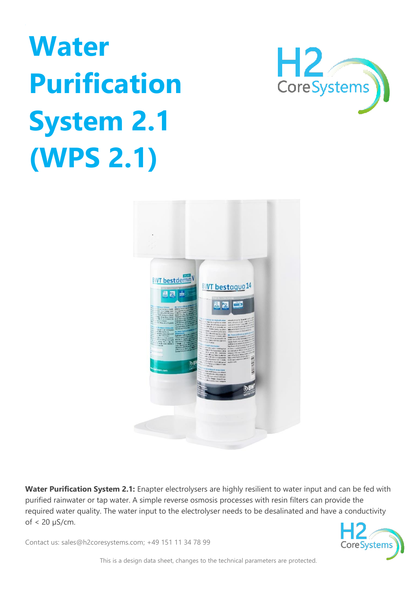## **Water Purification System 2.1 (WPS 2.1)**





**Water Purification System 2.1:** Enapter electrolysers are highly resilient to water input and can be fed with purified rainwater or tap water. A simple reverse osmosis processes with resin filters can provide the required water quality. The water input to the electrolyser needs to be desalinated and have a conductivity of < 20 µS/cm.

CoreSystems

Contact us: sales@h2coresystems.com; +49 151 11 34 78 99